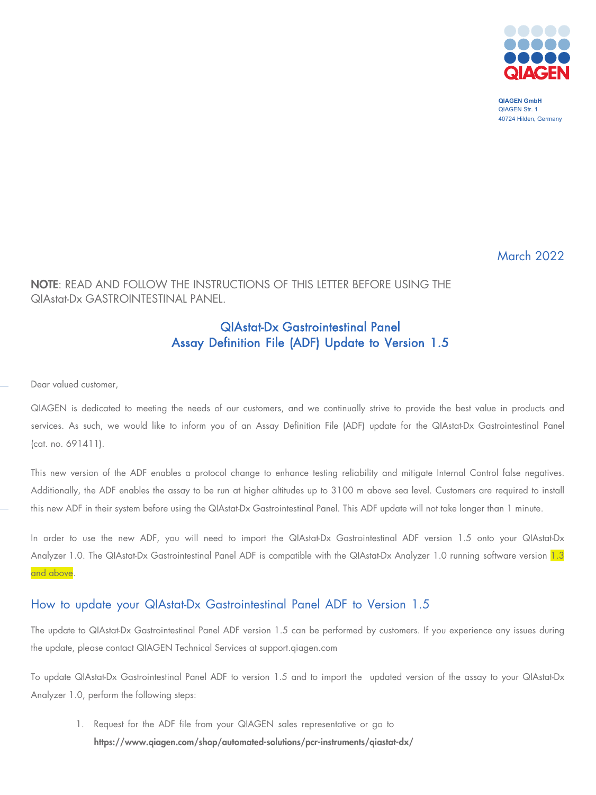

**QIAGEN GmbH** QIAGEN Str. 1 40724 Hilden, Germany

March 2022

## NOTE: READ AND FOLLOW THE INSTRUCTIONS OF THIS LETTER BEFORE USING THE QIAstat-Dx GASTROINTESTINAL PANEL.

## QIAstat-Dx Gastrointestinal Panel Assay Definition File (ADF) Update to Version 1.5

Dear valued customer,

QIAGEN is dedicated to meeting the needs of our customers, and we continually strive to provide the best value in products and services. As such, we would like to inform you of an Assay Definition File (ADF) update for the QIAstat-Dx Gastrointestinal Panel (cat. no. 691411).

This new version of the ADF enables a protocol change to enhance testing reliability and mitigate Internal Control false negatives. Additionally, the ADF enables the assay to be run at higher altitudes up to 3100 m above sea level. Customers are required to install this new ADF in their system before using the QIAstat-Dx Gastrointestinal Panel. This ADF update will not take longer than 1 minute.

In order to use the new ADF, you will need to import the QIAstat-Dx Gastrointestinal ADF version 1.5 onto your QIAstat-Dx Analyzer 1.0. The QIAstat-Dx Gastrointestinal Panel ADF is compatible with the QIAstat-Dx Analyzer 1.0 running software version 1.3 and above.

## How to update your QIAstat-Dx Gastrointestinal Panel ADF to Version 1.5

The update to QIAstat-Dx Gastrointestinal Panel ADF version 1.5 can be performed by customers. If you experience any issues during the update, please contact QIAGEN Technical Services at support.qiagen.com

To update QIAstat-Dx Gastrointestinal Panel ADF to version 1.5 and to import the updated version of the assay to your QIAstat-Dx Analyzer 1.0, perform the following steps:

1. Request for the ADF file from your QIAGEN sales representative or go to <https://www.qiagen.com/shop/automated-solutions/pcr-instruments/qiastat-dx/>